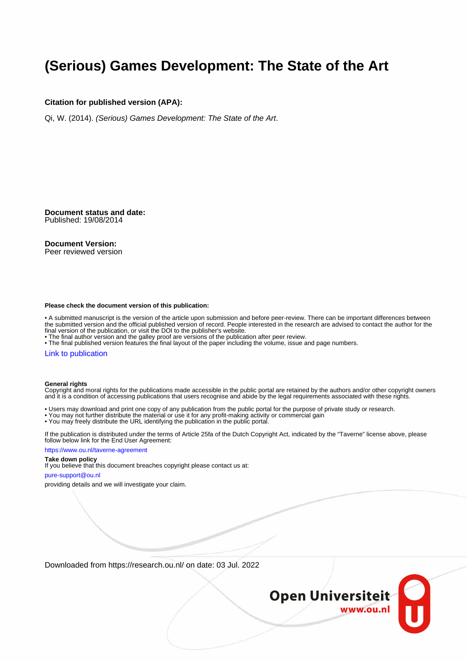# **(Serious) Games Development: The State of the Art**

#### **Citation for published version (APA):**

Qi, W. (2014). (Serious) Games Development: The State of the Art.

**Document status and date:** Published: 19/08/2014

#### **Document Version:**

Peer reviewed version

#### **Please check the document version of this publication:**

• A submitted manuscript is the version of the article upon submission and before peer-review. There can be important differences between the submitted version and the official published version of record. People interested in the research are advised to contact the author for the final version of the publication, or visit the DOI to the publisher's website.

• The final author version and the galley proof are versions of the publication after peer review.

• The final published version features the final layout of the paper including the volume, issue and page numbers.

#### [Link to publication](https://research.ou.nl/en/publications/e3d458b8-3428-4049-8fdf-05ed995e487a)

#### **General rights**

Copyright and moral rights for the publications made accessible in the public portal are retained by the authors and/or other copyright owners and it is a condition of accessing publications that users recognise and abide by the legal requirements associated with these rights.

- Users may download and print one copy of any publication from the public portal for the purpose of private study or research.
- You may not further distribute the material or use it for any profit-making activity or commercial gain
- You may freely distribute the URL identifying the publication in the public portal.

If the publication is distributed under the terms of Article 25fa of the Dutch Copyright Act, indicated by the "Taverne" license above, please follow below link for the End User Agreement:

#### https://www.ou.nl/taverne-agreement

#### **Take down policy**

If you believe that this document breaches copyright please contact us at:

#### pure-support@ou.nl

providing details and we will investigate your claim.

Downloaded from https://research.ou.nl/ on date: 03 Jul. 2022

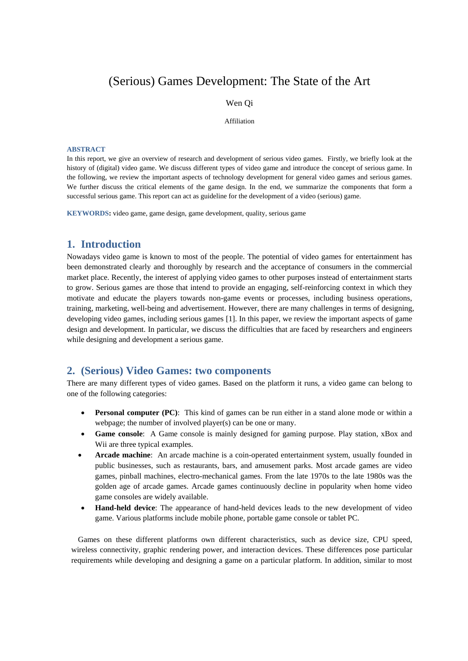## (Serious) Games Development: The State of the Art

#### Wen Qi

#### Affiliation

#### **ABSTRACT**

In this report, we give an overview of research and development of serious video games. Firstly, we briefly look at the history of (digital) video game. We discuss different types of video game and introduce the concept of serious game. In the following, we review the important aspects of technology development for general video games and serious games. We further discuss the critical elements of the game design. In the end, we summarize the components that form a successful serious game. This report can act as guideline for the development of a video (serious) game.

**KEYWORDS:** video game, game design, game development, quality, serious game

## **1. Introduction**

Nowadays video game is known to most of the people. The potential of video games for entertainment has been demonstrated clearly and thoroughly by research and the acceptance of consumers in the commercial market place. Recently, the interest of applying video games to other purposes instead of entertainment starts to grow. Serious games are those that intend to provide an engaging, self-reinforcing context in which they motivate and educate the players towards non-game events or processes, including business operations, training, marketing, well-being and advertisement. However, there are many challenges in terms of designing, developing video games, including serious games [1]. In this paper, we review the important aspects of game design and development. In particular, we discuss the difficulties that are faced by researchers and engineers while designing and development a serious game.

## **2. (Serious) Video Games: two components**

There are many different types of video games. Based on the platform it runs, a video game can belong to one of the following categories:

- **Personal computer (PC)**: This kind of games can be run either in a stand alone mode or within a webpage; the number of involved player(s) can be one or many.
- **Game console**: A Game console is mainly designed for gaming purpose. Play station, xBox and Wii are three typical examples.
- **Arcade machine**: An arcade machine is a coin-operated entertainment system, usually founded in public businesses, such as restaurants, bars, and amusement parks. Most arcade games are video games, pinball machines, electro-mechanical games. From the late 1970s to the late 1980s was the golden age of arcade games. Arcade games continuously decline in popularity when home video game consoles are widely available.
- **Hand-held device**: The appearance of hand-held devices leads to the new development of video game. Various platforms include mobile phone, portable game console or tablet PC.

Games on these different platforms own different characteristics, such as device size, CPU speed, wireless connectivity, graphic rendering power, and interaction devices. These differences pose particular requirements while developing and designing a game on a particular platform. In addition, similar to most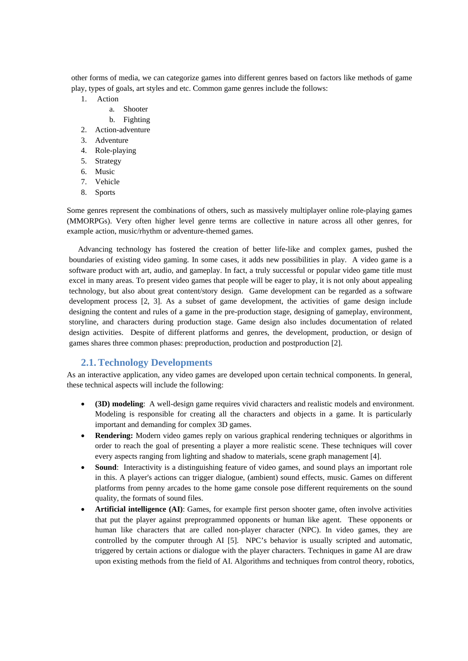other forms of media, we can categorize games into different genres based on factors like methods of game play, types of goals, art styles and etc. Common game genres include the follows:

- 1. Action
	- a. Shooter
	- b. Fighting
- 2. Action-adventure
- 3. Adventure
- 4. Role-playing
- 5. Strategy
- 6. Music
- 7. Vehicle
- 8. Sports

Some genres represent the combinations of others, such as massively multiplayer online role-playing games (MMORPGs). Very often higher level genre terms are collective in nature across all other genres, for example action, music/rhythm or adventure-themed games.

Advancing technology has fostered the creation of better life-like and complex games, pushed the boundaries of existing video gaming. In some cases, it adds new possibilities in play. A video game is a software product with art, audio, and gameplay. In fact, a truly successful or popular video game title must excel in many areas. To present video games that people will be eager to play, it is not only about appealing technology, but also about great content/story design. Game development can be regarded as a software development process [2, 3]. As a subset of game development, the activities of game design include designing the content and rules of a game in the pre-production stage, designing of gameplay, environment, storyline, and characters during production stage. Game design also includes documentation of related design activities. Despite of different platforms and genres, the development, production, or design of games shares three common phases: preproduction, production and postproduction [2].

## **2.1.Technology Developments**

As an interactive application, any video games are developed upon certain technical components. In general, these technical aspects will include the following:

- **(3D) modeling**: A well-design game requires vivid characters and realistic models and environment. Modeling is responsible for creating all the characters and objects in a game. It is particularly important and demanding for complex 3D games.
- **Rendering:** Modern video games reply on various graphical rendering techniques or algorithms in order to reach the goal of presenting a player a more realistic scene. These techniques will cover every aspects ranging from lighting and shadow to materials, scene graph management [4].
- **Sound**: Interactivity is a distinguishing feature of video games, and sound plays an important role in this. A player's actions can trigger dialogue, (ambient) sound effects, music. Games on different platforms from penny arcades to the home game console pose different requirements on the sound quality, the formats of sound files.
- **Artificial intelligence (AI)**: Games, for example first person shooter game, often involve activities that put the player against preprogrammed opponents or human like agent. These opponents or human like characters that are called non-player character (NPC). In video games, they are controlled by the computer through AI [5]. NPC's behavior is usually scripted and automatic, triggered by certain actions or dialogue with the player characters. Techniques in game AI are draw upon existing methods from the field of AI. Algorithms and techniques from control theory, robotics,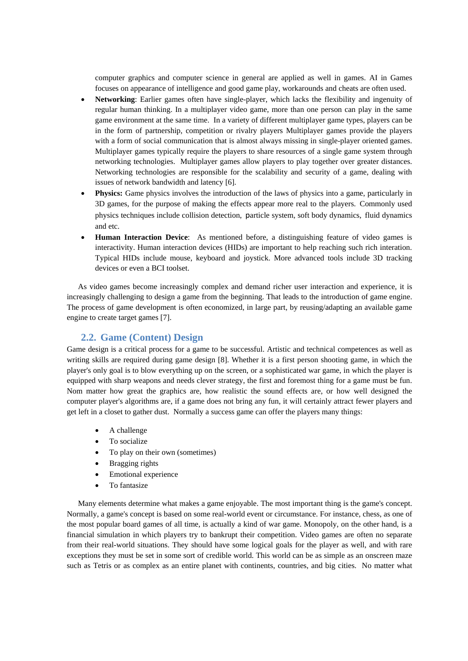computer graphics and computer science in general are applied as well in games. AI in Games focuses on appearance of intelligence and good game play, workarounds and cheats are often used.

- **Networking**: Earlier games often have single-player, which lacks the flexibility and ingenuity of regular human thinking. In a multiplayer video game, more than one person can play in the same game environment at the same time. In a variety of different multiplayer game types, players can be in the form of partnership, competition or rivalry players Multiplayer games provide the players with a form of social communication that is almost always missing in single-player oriented games. Multiplayer games typically require the players to share resources of a single game system through networking technologies. Multiplayer games allow players to play together over greater distances. Networking technologies are responsible for the scalability and security of a game, dealing with issues of network bandwidth and latency [6].
- **Physics:** Game physics involves the introduction of the laws of physics into a game, particularly in 3D games, for the purpose of making the effects appear more real to the players. Commonly used physics techniques include collision detection, particle system, soft body dynamics, fluid dynamics and etc.
- **Human Interaction Device**: As mentioned before, a distinguishing feature of video games is interactivity. Human interaction devices (HIDs) are important to help reaching such rich interation. Typical HIDs include mouse, keyboard and joystick. More advanced tools include 3D tracking devices or even a BCI toolset.

As video games become increasingly complex and demand richer user interaction and experience, it is increasingly challenging to design a game from the beginning. That leads to the introduction of game engine. The process of game development is often economized, in large part, by reusing/adapting an available game engine to create target games [7].

## **2.2. Game (Content) Design**

Game design is a critical process for a game to be successful. Artistic and technical competences as well as writing skills are required during game design [8]. Whether it is a first person shooting game, in which the player's only goal is to blow everything up on the screen, or a sophisticated war game, in which the player is equipped with sharp weapons and needs clever strategy, the first and foremost thing for a game must be fun. Nom matter how great the graphics are, how realistic the sound effects are, or how well designed the computer player's algorithms are, if a game does not bring any fun, it will certainly attract fewer players and get left in a closet to gather dust. Normally a success game can offer the players many things:

- A challenge
- To socialize
- To play on their own (sometimes)
- Bragging rights
- Emotional experience
- To fantasize

Many elements determine what makes a game enjoyable. The most important thing is the game's concept. Normally, a game's concept is based on some real-world event or circumstance. For instance, chess, as one of the most popular board games of all time, is actually a kind of war game. Monopoly, on the other hand, is a financial simulation in which players try to bankrupt their competition. Video games are often no separate from their real-world situations. They should have some logical goals for the player as well, and with rare exceptions they must be set in some sort of credible world. This world can be as simple as an onscreen maze such as Tetris or as complex as an entire planet with continents, countries, and big cities. No matter what